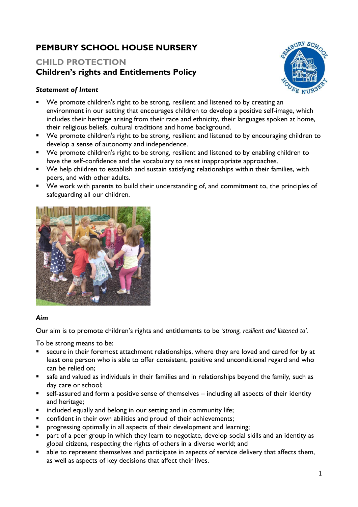# **PEMBURY SCHOOL HOUSE NURSERY**

# **CHILD PROTECTION Children's rights and Entitlements Policy**

## *Statement of Intent*

- We promote children's right to be strong, resilient and listened to by creating an environment in our setting that encourages children to develop a positive self-image, which includes their heritage arising from their race and ethnicity, their languages spoken at home, their religious beliefs, cultural traditions and home background.
- We promote children's right to be strong, resilient and listened to by encouraging children to develop a sense of autonomy and independence.
- We promote children's right to be strong, resilient and listened to by enabling children to have the self-confidence and the vocabulary to resist inappropriate approaches.
- We help children to establish and sustain satisfying relationships within their families, with peers, and with other adults.
- We work with parents to build their understanding of, and commitment to, the principles of safeguarding all our children.



### *Aim*

Our aim is to promote children's rights and entitlements to be '*strong, resilient and listened to'.*

To be strong means to be:

- secure in their foremost attachment relationships, where they are loved and cared for by at least one person who is able to offer consistent, positive and unconditional regard and who can be relied on;
- safe and valued as individuals in their families and in relationships beyond the family, such as day care or school;
- self-assured and form a positive sense of themselves including all aspects of their identity and heritage;
- included equally and belong in our setting and in community life;
- confident in their own abilities and proud of their achievements;
- **•** progressing optimally in all aspects of their development and learning;
- part of a peer group in which they learn to negotiate, develop social skills and an identity as global citizens, respecting the rights of others in a diverse world; and
- able to represent themselves and participate in aspects of service delivery that affects them, as well as aspects of key decisions that affect their lives.